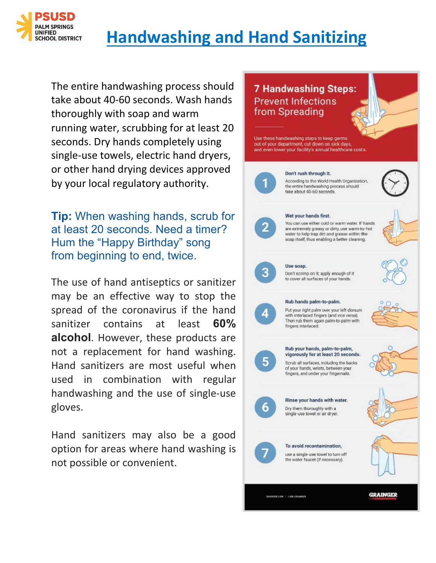

# **Handwashing and Hand Sanitizing**

The entire handwashing process should take about 40-60 seconds. Wash hands thoroughly with soap and warm running water, scrubbing for at least 20 seconds. Dry hands completely using single-use towels, electric hand dryers, or other hand drying devices approved by your local regulatory authority.

**Tip:** When washing hands, scrub for at least 20 seconds. Need a timer? Hum the "Happy Birthday" song from beginning to end, twice.

The use of hand antiseptics or sanitizer may be an effective way to stop the spread of the coronavirus if the hand sanitizer contains at least **60% alcohol**. However, these products are not a replacement for hand washing. Hand sanitizers are most useful when used in combination with regular handwashing and the use of single-use gloves.

Hand sanitizers may also be a good option for areas where hand washing is not possible or convenient.

#### **7 Handwashing Steps: Prevent Infections** from Spreading

Use these handwashing steps to keep germs out of your department, cut down on sick days, and even lower your facility's annual healthcare costs.